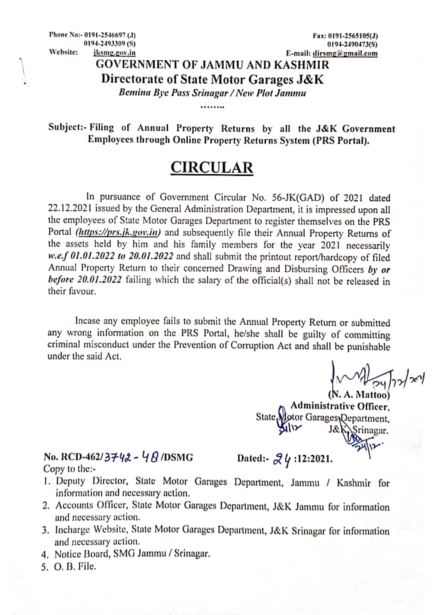Phone No:- 0191-2546697 (J) 0194-2493309(S) Website: jksmg.gov.in

Fax: 0191-2565105(J) 0194-2490473(S) E-mail: dirsmg@gmail.com

## **GOVERNMENT OF JAMMU AND KASHMIR** Directorate of State Motor Garages J&K

Bemina Bye Pass Srinagar / New Plot Jammu

Subject:- Filing of Annual Property Returns by all the J&K Government Employees through Online Property Returns System (PRS Portal).

## **CIRCULAR**

In pursuance of Government Circular No. 56-JK(GAD) of 2021 dated 22.12.2021 issued by the General Administration Department, it is impressed upon all the employees of State Motor Garages Department to register themselves on the PRS Portal (https://prs.jk.gov.in) and subsequently file their Annual Property Returns of the assets held by him and his family members for the year 2021 necessarily w.e.f 01.01.2022 to 20.01.2022 and shall submit the printout report/hardcopy of filed Annual Property Return to their concerned Drawing and Disbursing Officers by or before 20.01.2022 failing which the salary of the official(s) shall not be released in their favour.

Incase any employee fails to submit the Annual Property Return or submitted any wrong information on the PRS Portal, he/she shall be guilty of committing criminal misconduct under the Prevention of Corruption Act and shall be punishable under the said Act.

(N. A. Mattoo) **Administrative Officer.** State, dotor Garages Department, Srinagar.

No. RCD-462/3742 - 48/DSMG Copy to the:-

Dated:-  $2\frac{1}{2}$  / :12:2021.

- 1. Deputy Director, State Motor Garages Department, Jammu / Kashmir for information and necessary action.
- 2. Accounts Officer, State Motor Garages Department, J&K Jammu for information and necessary action.
- 3. Incharge Website, State Motor Garages Department, J&K Srinagar for information and necessary action.
- 4. Notice Board, SMG Jammu / Srinagar.
- 5. O. B. File.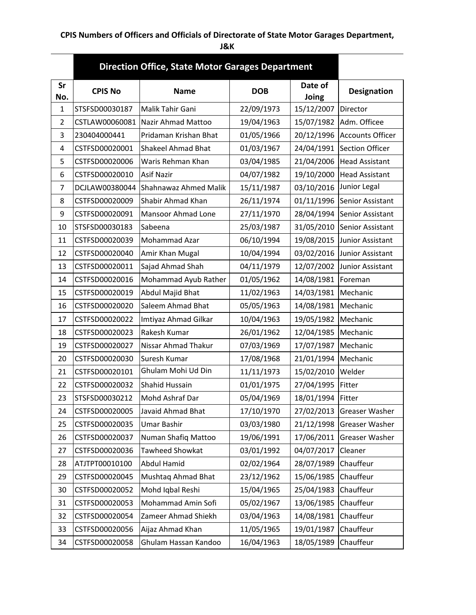## **CPIS Numbers of Officers and Officials of Directorate of State Motor Garages Department,**

**J&K**

|                | <b>Direction Office, State Motor Garages Department</b> |                           |            |                  |                         |  |
|----------------|---------------------------------------------------------|---------------------------|------------|------------------|-------------------------|--|
| Sr<br>No.      | <b>CPIS No</b>                                          | <b>Name</b>               | <b>DOB</b> | Date of<br>Joing | <b>Designation</b>      |  |
| 1              | STSFSD00030187                                          | Malik Tahir Gani          | 22/09/1973 | 15/12/2007       | Director                |  |
| $\overline{2}$ | CSTLAW00060081                                          | Nazir Ahmad Mattoo        | 19/04/1963 | 15/07/1982       | Adm. Officee            |  |
| 3              | 230404000441                                            | Pridaman Krishan Bhat     | 01/05/1966 | 20/12/1996       | <b>Accounts Officer</b> |  |
| 4              | CSTFSD00020001                                          | <b>Shakeel Ahmad Bhat</b> | 01/03/1967 | 24/04/1991       | Section Officer         |  |
| 5              | CSTFSD00020006                                          | Waris Rehman Khan         | 03/04/1985 | 21/04/2006       | <b>Head Assistant</b>   |  |
| 6              | CSTFSD00020010                                          | <b>Asif Nazir</b>         | 04/07/1982 | 19/10/2000       | <b>Head Assistant</b>   |  |
| 7              | DCJLAW00380044                                          | Shahnawaz Ahmed Malik     | 15/11/1987 | 03/10/2016       | Junior Legal            |  |
| 8              | CSTFSD00020009                                          | Shabir Ahmad Khan         | 26/11/1974 | 01/11/1996       | Senior Assistant        |  |
| 9              | CSTFSD00020091                                          | Mansoor Ahmad Lone        | 27/11/1970 | 28/04/1994       | Senior Assistant        |  |
| 10             | STSFSD00030183                                          | Sabeena                   | 25/03/1987 | 31/05/2010       | Senior Assistant        |  |
| 11             | CSTFSD00020039                                          | Mohammad Azar             | 06/10/1994 | 19/08/2015       | Junior Assistant        |  |
| 12             | CSTFSD00020040                                          | Amir Khan Mugal           | 10/04/1994 | 03/02/2016       | Junior Assistant        |  |
| 13             | CSTFSD00020011                                          | Sajad Ahmad Shah          | 04/11/1979 | 12/07/2002       | Junior Assistant        |  |
| 14             | CSTFSD00020016                                          | Mohammad Ayub Rather      | 01/05/1962 | 14/08/1981       | Foreman                 |  |
| 15             | CSTFSD00020019                                          | Abdul Majid Bhat          | 11/02/1963 | 14/03/1981       | Mechanic                |  |
| 16             | CSTFSD00020020                                          | Saleem Ahmad Bhat         | 05/05/1963 | 14/08/1981       | Mechanic                |  |
| 17             | CSTFSD00020022                                          | Imtiyaz Ahmad Gilkar      | 10/04/1963 | 19/05/1982       | Mechanic                |  |
| 18             | CSTFSD00020023                                          | Rakesh Kumar              | 26/01/1962 | 12/04/1985       | Mechanic                |  |
| 19             | CSTFSD00020027                                          | Nissar Ahmad Thakur       | 07/03/1969 | 17/07/1987       | Mechanic                |  |
| 20             | CSTFSD00020030                                          | Suresh Kumar              | 17/08/1968 | 21/01/1994       | Mechanic                |  |
| 21             | CSTFSD00020101                                          | Ghulam Mohi Ud Din        | 11/11/1973 | 15/02/2010       | Welder                  |  |
| 22             | CSTFSD00020032                                          | Shahid Hussain            | 01/01/1975 | 27/04/1995       | Fitter                  |  |
| 23             | STSFSD00030212                                          | Mohd Ashraf Dar           | 05/04/1969 | 18/01/1994       | Fitter                  |  |
| 24             | CSTFSD00020005                                          | Javaid Ahmad Bhat         | 17/10/1970 | 27/02/2013       | Greaser Washer          |  |
| 25             | CSTFSD00020035                                          | Umar Bashir               | 03/03/1980 | 21/12/1998       | Greaser Washer          |  |
| 26             | CSTFSD00020037                                          | Numan Shafiq Mattoo       | 19/06/1991 | 17/06/2011       | Greaser Washer          |  |
| 27             | CSTFSD00020036                                          | Tawheed Showkat           | 03/01/1992 | 04/07/2017       | Cleaner                 |  |
| 28             | ATJTPT00010100                                          | <b>Abdul Hamid</b>        | 02/02/1964 | 28/07/1989       | Chauffeur               |  |
| 29             | CSTFSD00020045                                          | Mushtaq Ahmad Bhat        | 23/12/1962 | 15/06/1985       | Chauffeur               |  |
| 30             | CSTFSD00020052                                          | Mohd Iqbal Reshi          | 15/04/1965 | 25/04/1983       | Chauffeur               |  |
| 31             | CSTFSD00020053                                          | Mohammad Amin Sofi        | 05/02/1967 | 13/06/1985       | Chauffeur               |  |
| 32             | CSTFSD00020054                                          | Zameer Ahmad Shiekh       | 03/04/1963 | 14/08/1981       | Chauffeur               |  |
| 33             | CSTFSD00020056                                          | Aijaz Ahmad Khan          | 11/05/1965 | 19/01/1987       | Chauffeur               |  |
| 34             | CSTFSD00020058                                          | Ghulam Hassan Kandoo      | 16/04/1963 | 18/05/1989       | Chauffeur               |  |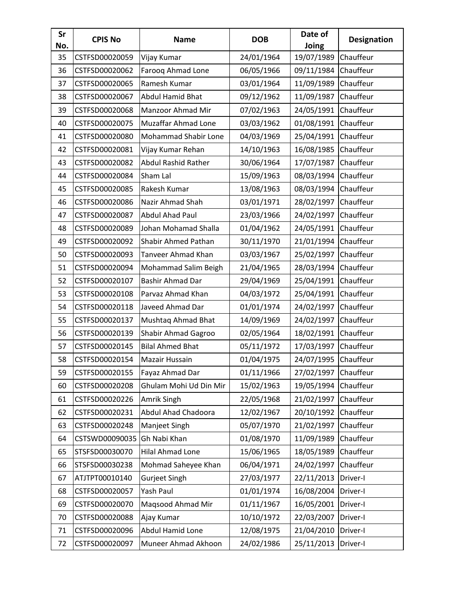| Sr<br>No. | <b>CPIS No</b> | <b>Name</b>                 | <b>DOB</b> | Date of<br>Joing     | <b>Designation</b> |
|-----------|----------------|-----------------------------|------------|----------------------|--------------------|
| 35        | CSTFSD00020059 | Vijay Kumar                 | 24/01/1964 | 19/07/1989           | Chauffeur          |
| 36        | CSTFSD00020062 | Farooq Ahmad Lone           | 06/05/1966 | 09/11/1984           | Chauffeur          |
| 37        | CSTFSD00020065 | Ramesh Kumar                | 03/01/1964 | 11/09/1989           | Chauffeur          |
| 38        | CSTFSD00020067 | Abdul Hamid Bhat            | 09/12/1962 | 11/09/1987           | Chauffeur          |
| 39        | CSTFSD00020068 | Manzoor Ahmad Mir           | 07/02/1963 | 24/05/1991           | Chauffeur          |
| 40        | CSTFSD00020075 | <b>Muzaffar Ahmad Lone</b>  | 03/03/1962 | 01/08/1991           | Chauffeur          |
| 41        | CSTFSD00020080 | <b>Mohammad Shabir Lone</b> | 04/03/1969 | 25/04/1991           | Chauffeur          |
| 42        | CSTFSD00020081 | Vijay Kumar Rehan           | 14/10/1963 | 16/08/1985           | Chauffeur          |
| 43        | CSTFSD00020082 | Abdul Rashid Rather         | 30/06/1964 | 17/07/1987           | Chauffeur          |
| 44        | CSTFSD00020084 | Sham Lal                    | 15/09/1963 | 08/03/1994           | Chauffeur          |
| 45        | CSTFSD00020085 | Rakesh Kumar                | 13/08/1963 | 08/03/1994           | Chauffeur          |
| 46        | CSTFSD00020086 | Nazir Ahmad Shah            | 03/01/1971 | 28/02/1997           | Chauffeur          |
| 47        | CSTFSD00020087 | <b>Abdul Ahad Paul</b>      | 23/03/1966 | 24/02/1997           | Chauffeur          |
| 48        | CSTFSD00020089 | Johan Mohamad Shalla        | 01/04/1962 | 24/05/1991           | Chauffeur          |
| 49        | CSTFSD00020092 | Shabir Ahmed Pathan         | 30/11/1970 | 21/01/1994           | Chauffeur          |
| 50        | CSTFSD00020093 | Tanveer Ahmad Khan          | 03/03/1967 | 25/02/1997           | Chauffeur          |
| 51        | CSTFSD00020094 | Mohammad Salim Beigh        | 21/04/1965 | 28/03/1994           | Chauffeur          |
| 52        | CSTFSD00020107 | Bashir Ahmad Dar            | 29/04/1969 | 25/04/1991           | Chauffeur          |
| 53        | CSTFSD00020108 | Parvaz Ahmad Khan           | 04/03/1972 | 25/04/1991           | Chauffeur          |
| 54        | CSTFSD00020118 | Javeed Ahmad Dar            | 01/01/1974 | 24/02/1997           | Chauffeur          |
| 55        | CSTFSD00020137 | Mushtaq Ahmad Bhat          | 14/09/1969 | 24/02/1997           | Chauffeur          |
| 56        | CSTFSD00020139 | Shabir Ahmad Gagroo         | 02/05/1964 | 18/02/1991           | Chauffeur          |
| 57        | CSTFSD00020145 | <b>Bilal Ahmed Bhat</b>     | 05/11/1972 | 17/03/1997           | Chauffeur          |
| 58        | CSTFSD00020154 | Mazair Hussain              | 01/04/1975 | 24/07/1995           | Chauffeur          |
| 59        | CSTFSD00020155 | Fayaz Ahmad Dar             | 01/11/1966 | 27/02/1997 Chauffeur |                    |
| 60        | CSTFSD00020208 | Ghulam Mohi Ud Din Mir      | 15/02/1963 | 19/05/1994           | Chauffeur          |
| 61        | CSTFSD00020226 | Amrik Singh                 | 22/05/1968 | 21/02/1997           | Chauffeur          |
| 62        | CSTFSD00020231 | Abdul Ahad Chadoora         | 12/02/1967 | 20/10/1992           | Chauffeur          |
| 63        | CSTFSD00020248 | Manjeet Singh               | 05/07/1970 | 21/02/1997           | Chauffeur          |
| 64        | CSTSWD00090035 | Gh Nabi Khan                | 01/08/1970 | 11/09/1989           | Chauffeur          |
| 65        | STSFSD00030070 | Hilal Ahmad Lone            | 15/06/1965 | 18/05/1989           | Chauffeur          |
| 66        | STSFSD00030238 | Mohmad Saheyee Khan         | 06/04/1971 | 24/02/1997           | Chauffeur          |
| 67        | ATJTPT00010140 | Gurjeet Singh               | 27/03/1977 | 22/11/2013           | Driver-I           |
| 68        | CSTFSD00020057 | Yash Paul                   | 01/01/1974 | 16/08/2004           | Driver-I           |
| 69        | CSTFSD00020070 | Maqsood Ahmad Mir           | 01/11/1967 | 16/05/2001           | Driver-I           |
| 70        | CSTFSD00020088 | Ajay Kumar                  | 10/10/1972 | 22/03/2007           | Driver-I           |
| 71        | CSTFSD00020096 | Abdul Hamid Lone            | 12/08/1975 | 21/04/2010           | Driver-I           |
| 72        | CSTFSD00020097 | Muneer Ahmad Akhoon         | 24/02/1986 | 25/11/2013           | Driver-I           |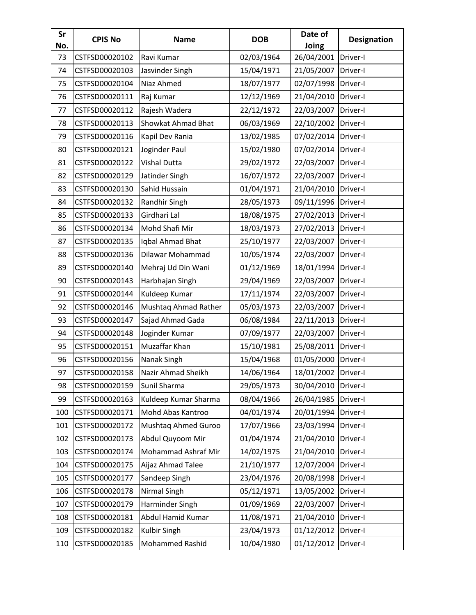| Sr<br>No. | <b>CPIS No</b> | <b>Name</b>                | <b>DOB</b> | Date of<br>Joing | <b>Designation</b> |
|-----------|----------------|----------------------------|------------|------------------|--------------------|
| 73        | CSTFSD00020102 | Ravi Kumar                 | 02/03/1964 | 26/04/2001       | Driver-I           |
| 74        | CSTFSD00020103 | Jasvinder Singh            | 15/04/1971 | 21/05/2007       | Driver-I           |
| 75        | CSTFSD00020104 | Niaz Ahmed                 | 18/07/1977 | 02/07/1998       | Driver-I           |
| 76        | CSTFSD00020111 | Raj Kumar                  | 12/12/1969 | 21/04/2010       | Driver-I           |
| 77        | CSTFSD00020112 | Rajesh Wadera              | 22/12/1972 | 22/03/2007       | Driver-I           |
| 78        | CSTFSD00020113 | Showkat Ahmad Bhat         | 06/03/1969 | 22/10/2002       | Driver-I           |
| 79        | CSTFSD00020116 | Kapil Dev Rania            | 13/02/1985 | 07/02/2014       | Driver-I           |
| 80        | CSTFSD00020121 | Joginder Paul              | 15/02/1980 | 07/02/2014       | Driver-I           |
| 81        | CSTFSD00020122 | Vishal Dutta               | 29/02/1972 | 22/03/2007       | Driver-I           |
| 82        | CSTFSD00020129 | Jatinder Singh             | 16/07/1972 | 22/03/2007       | Driver-I           |
| 83        | CSTFSD00020130 | Sahid Hussain              | 01/04/1971 | 21/04/2010       | Driver-I           |
| 84        | CSTFSD00020132 | Randhir Singh              | 28/05/1973 | 09/11/1996       | Driver-I           |
| 85        | CSTFSD00020133 | Girdhari Lal               | 18/08/1975 | 27/02/2013       | Driver-I           |
| 86        | CSTFSD00020134 | Mohd Shafi Mir             | 18/03/1973 | 27/02/2013       | Driver-I           |
| 87        | CSTFSD00020135 | Iqbal Ahmad Bhat           | 25/10/1977 | 22/03/2007       | Driver-I           |
| 88        | CSTFSD00020136 | Dilawar Mohammad           | 10/05/1974 | 22/03/2007       | Driver-I           |
| 89        | CSTFSD00020140 | Mehraj Ud Din Wani         | 01/12/1969 | 18/01/1994       | Driver-I           |
| 90        | CSTFSD00020143 | Harbhajan Singh            | 29/04/1969 | 22/03/2007       | Driver-I           |
| 91        | CSTFSD00020144 | Kuldeep Kumar              | 17/11/1974 | 22/03/2007       | Driver-I           |
| 92        | CSTFSD00020146 | Mushtaq Ahmad Rather       | 05/03/1973 | 22/03/2007       | Driver-I           |
| 93        | CSTFSD00020147 | Sajad Ahmad Gada           | 06/08/1984 | 22/11/2013       | Driver-I           |
| 94        | CSTFSD00020148 | Joginder Kumar             | 07/09/1977 | 22/03/2007       | Driver-I           |
| 95        | CSTFSD00020151 | Muzaffar Khan              | 15/10/1981 | 25/08/2011       | Driver-I           |
| 96        | CSTFSD00020156 | Nanak Singh                | 15/04/1968 | 01/05/2000       | Driver-I           |
| 97        | CSTFSD00020158 | Nazir Ahmad Sheikh         | 14/06/1964 | 18/01/2002       | Driver-I           |
| 98        | CSTFSD00020159 | Sunil Sharma               | 29/05/1973 | 30/04/2010       | Driver-I           |
| 99        | CSTFSD00020163 | Kuldeep Kumar Sharma       | 08/04/1966 | 26/04/1985       | Driver-I           |
| 100       | CSTFSD00020171 | Mohd Abas Kantroo          | 04/01/1974 | 20/01/1994       | Driver-I           |
| 101       | CSTFSD00020172 | Mushtaq Ahmed Guroo        | 17/07/1966 | 23/03/1994       | Driver-I           |
| 102       | CSTFSD00020173 | Abdul Quyoom Mir           | 01/04/1974 | 21/04/2010       | Driver-I           |
| 103       | CSTFSD00020174 | <b>Mohammad Ashraf Mir</b> | 14/02/1975 | 21/04/2010       | Driver-I           |
| 104       | CSTFSD00020175 | Aijaz Ahmad Talee          | 21/10/1977 | 12/07/2004       | Driver-I           |
| 105       | CSTFSD00020177 | Sandeep Singh              | 23/04/1976 | 20/08/1998       | Driver-I           |
| 106       | CSTFSD00020178 | Nirmal Singh               | 05/12/1971 | 13/05/2002       | Driver-I           |
| 107       | CSTFSD00020179 | Harminder Singh            | 01/09/1969 | 22/03/2007       | Driver-I           |
| 108       | CSTFSD00020181 | Abdul Hamid Kumar          | 11/08/1971 | 21/04/2010       | Driver-I           |
| 109       | CSTFSD00020182 | Kulbir Singh               | 23/04/1973 | 01/12/2012       | Driver-I           |
| 110       | CSTFSD00020185 | <b>Mohammed Rashid</b>     | 10/04/1980 | 01/12/2012       | Driver-I           |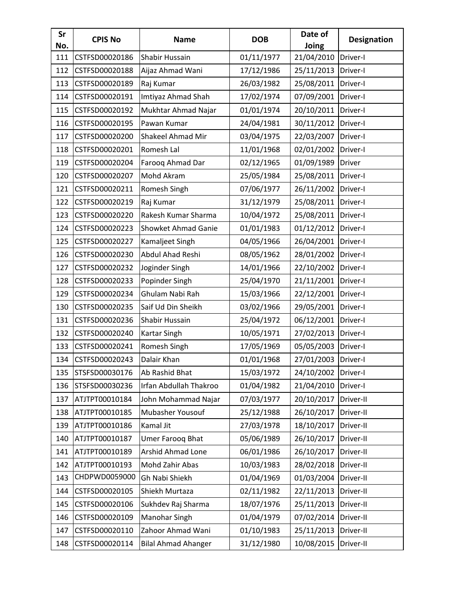| Sr<br>No. | <b>CPIS No</b> | <b>Name</b>                | <b>DOB</b> | Date of<br>Joing | <b>Designation</b> |
|-----------|----------------|----------------------------|------------|------------------|--------------------|
| 111       | CSTFSD00020186 | Shabir Hussain             | 01/11/1977 | 21/04/2010       | Driver-I           |
| 112       | CSTFSD00020188 | Aijaz Ahmad Wani           | 17/12/1986 | 25/11/2013       | Driver-I           |
| 113       | CSTFSD00020189 | Raj Kumar                  | 26/03/1982 | 25/08/2011       | Driver-I           |
| 114       | CSTFSD00020191 | Imtiyaz Ahmad Shah         | 17/02/1974 | 07/09/2001       | Driver-I           |
| 115       | CSTFSD00020192 | Mukhtar Ahmad Najar        | 01/01/1974 | 20/10/2011       | Driver-I           |
| 116       | CSTFSD00020195 | Pawan Kumar                | 24/04/1981 | 30/11/2012       | Driver-I           |
| 117       | CSTFSD00020200 | <b>Shakeel Ahmad Mir</b>   | 03/04/1975 | 22/03/2007       | Driver-I           |
| 118       | CSTFSD00020201 | Romesh Lal                 | 11/01/1968 | 02/01/2002       | Driver-I           |
| 119       | CSTFSD00020204 | Farooq Ahmad Dar           | 02/12/1965 | 01/09/1989       | Driver             |
| 120       | CSTFSD00020207 | Mohd Akram                 | 25/05/1984 | 25/08/2011       | Driver-I           |
| 121       | CSTFSD00020211 | Romesh Singh               | 07/06/1977 | 26/11/2002       | Driver-I           |
| 122       | CSTFSD00020219 | Raj Kumar                  | 31/12/1979 | 25/08/2011       | Driver-I           |
| 123       | CSTFSD00020220 | Rakesh Kumar Sharma        | 10/04/1972 | 25/08/2011       | Driver-I           |
| 124       | CSTFSD00020223 | Showket Ahmad Ganie        | 01/01/1983 | 01/12/2012       | Driver-I           |
| 125       | CSTFSD00020227 | Kamaljeet Singh            | 04/05/1966 | 26/04/2001       | Driver-I           |
| 126       | CSTFSD00020230 | Abdul Ahad Reshi           | 08/05/1962 | 28/01/2002       | Driver-I           |
| 127       | CSTFSD00020232 | Joginder Singh             | 14/01/1966 | 22/10/2002       | Driver-I           |
| 128       | CSTFSD00020233 | Popinder Singh             | 25/04/1970 | 21/11/2001       | Driver-I           |
| 129       | CSTFSD00020234 | Ghulam Nabi Rah            | 15/03/1966 | 22/12/2001       | Driver-I           |
| 130       | CSTFSD00020235 | Saif Ud Din Sheikh         | 03/02/1966 | 29/05/2001       | Driver-I           |
| 131       | CSTFSD00020236 | Shabir Hussain             | 25/04/1972 | 06/12/2001       | Driver-I           |
| 132       | CSTFSD00020240 | Kartar Singh               | 10/05/1971 | 27/02/2013       | Driver-I           |
| 133       | CSTFSD00020241 | Romesh Singh               | 17/05/1969 | 05/05/2003       | Driver-I           |
| 134       | CSTFSD00020243 | Dalair Khan                | 01/01/1968 | 27/01/2003       | Driver-I           |
| 135       | STSFSD00030176 | Ab Rashid Bhat             | 15/03/1972 | 24/10/2002       | Driver-I           |
| 136       | STSFSD00030236 | Irfan Abdullah Thakroo     | 01/04/1982 | 21/04/2010       | Driver-I           |
| 137       | ATJTPT00010184 | John Mohammad Najar        | 07/03/1977 | 20/10/2017       | Driver-II          |
| 138       | ATJTPT00010185 | Mubasher Yousouf           | 25/12/1988 | 26/10/2017       | Driver-II          |
| 139       | ATJTPT00010186 | Kamal Jit                  | 27/03/1978 | 18/10/2017       | Driver-II          |
| 140       | ATJTPT00010187 | Umer Farooq Bhat           | 05/06/1989 | 26/10/2017       | Driver-II          |
| 141       | ATJTPT00010189 | Arshid Ahmad Lone          | 06/01/1986 | 26/10/2017       | Driver-II          |
| 142       | ATJTPT00010193 | Mohd Zahir Abas            | 10/03/1983 | 28/02/2018       | Driver-II          |
| 143       | CHDPWD0059000  | Gh Nabi Shiekh             | 01/04/1969 | 01/03/2004       | Driver-II          |
| 144       | CSTFSD00020105 | Shiekh Murtaza             | 02/11/1982 | 22/11/2013       | Driver-II          |
| 145       | CSTFSD00020106 | Sukhdev Raj Sharma         | 18/07/1976 | 25/11/2013       | Driver-II          |
| 146       | CSTFSD00020109 | <b>Manohar Singh</b>       | 01/04/1979 | 07/02/2014       | Driver-II          |
| 147       | CSTFSD00020110 | Zahoor Ahmad Wani          | 01/10/1983 | 25/11/2013       | Driver-II          |
| 148       | CSTFSD00020114 | <b>Bilal Ahmad Ahanger</b> | 31/12/1980 | 10/08/2015       | Driver-II          |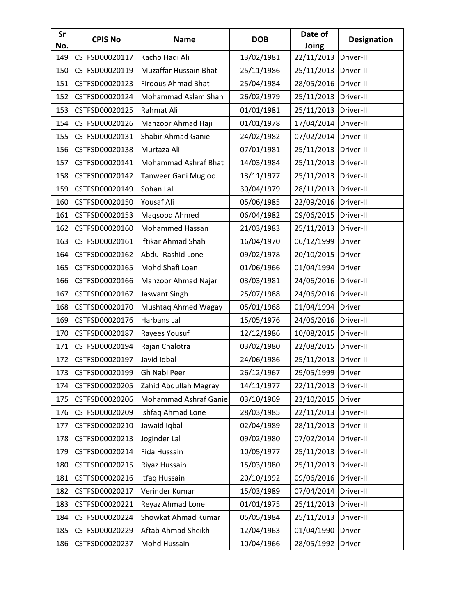| Sr<br>No. | <b>CPIS No</b> | <b>Name</b>                  | <b>DOB</b> | Date of<br>Joing | <b>Designation</b> |
|-----------|----------------|------------------------------|------------|------------------|--------------------|
| 149       | CSTFSD00020117 | Kacho Hadi Ali               | 13/02/1981 | 22/11/2013       | Driver-II          |
| 150       | CSTFSD00020119 | <b>Muzaffar Hussain Bhat</b> | 25/11/1986 | 25/11/2013       | Driver-II          |
| 151       | CSTFSD00020123 | <b>Firdous Ahmad Bhat</b>    | 25/04/1984 | 28/05/2016       | Driver-II          |
| 152       | CSTFSD00020124 | Mohammad Aslam Shah          | 26/02/1979 | 25/11/2013       | Driver-II          |
| 153       | CSTFSD00020125 | Rahmat Ali                   | 01/01/1981 | 25/11/2013       | Driver-II          |
| 154       | CSTFSD00020126 | Manzoor Ahmad Haji           | 01/01/1978 | 17/04/2014       | Driver-II          |
| 155       | CSTFSD00020131 | Shabir Ahmad Ganie           | 24/02/1982 | 07/02/2014       | Driver-II          |
| 156       | CSTFSD00020138 | Murtaza Ali                  | 07/01/1981 | 25/11/2013       | Driver-II          |
| 157       | CSTFSD00020141 | <b>Mohammad Ashraf Bhat</b>  | 14/03/1984 | 25/11/2013       | Driver-II          |
| 158       | CSTFSD00020142 | Tanweer Gani Mugloo          | 13/11/1977 | 25/11/2013       | Driver-II          |
| 159       | CSTFSD00020149 | Sohan Lal                    | 30/04/1979 | 28/11/2013       | Driver-II          |
| 160       | CSTFSD00020150 | Yousaf Ali                   | 05/06/1985 | 22/09/2016       | Driver-II          |
| 161       | CSTFSD00020153 | Magsood Ahmed                | 06/04/1982 | 09/06/2015       | Driver-II          |
| 162       | CSTFSD00020160 | Mohammed Hassan              | 21/03/1983 | 25/11/2013       | Driver-II          |
| 163       | CSTFSD00020161 | <b>Iftikar Ahmad Shah</b>    | 16/04/1970 | 06/12/1999       | <b>Driver</b>      |
| 164       | CSTFSD00020162 | Abdul Rashid Lone            | 09/02/1978 | 20/10/2015       | Driver             |
| 165       | CSTFSD00020165 | Mohd Shafi Loan              | 01/06/1966 | 01/04/1994       | Driver             |
| 166       | CSTFSD00020166 | Manzoor Ahmad Najar          | 03/03/1981 | 24/06/2016       | Driver-II          |
| 167       | CSTFSD00020167 | Jaswant Singh                | 25/07/1988 | 24/06/2016       | Driver-II          |
| 168       | CSTFSD00020170 | Mushtaq Ahmed Wagay          | 05/01/1968 | 01/04/1994       | Driver             |
| 169       | CSTFSD00020176 | Harbans Lal                  | 15/05/1976 | 24/06/2016       | Driver-II          |
| 170       | CSTFSD00020187 | Rayees Yousuf                | 12/12/1986 | 10/08/2015       | Driver-II          |
| 171       | CSTFSD00020194 | Rajan Chalotra               | 03/02/1980 | 22/08/2015       | Driver-II          |
| 172       | CSTFSD00020197 | Javid Iqbal                  | 24/06/1986 | 25/11/2013       | Driver-II          |
| 173       | CSTFSD00020199 | Gh Nabi Peer                 | 26/12/1967 | 29/05/1999       | <b>Driver</b>      |
| 174       | CSTFSD00020205 | Zahid Abdullah Magray        | 14/11/1977 | 22/11/2013       | Driver-II          |
| 175       | CSTFSD00020206 | Mohammad Ashraf Ganie        | 03/10/1969 | 23/10/2015       | Driver             |
| 176       | CSTFSD00020209 | Ishfaq Ahmad Lone            | 28/03/1985 | 22/11/2013       | Driver-II          |
| 177       | CSTFSD00020210 | Jawaid Iqbal                 | 02/04/1989 | 28/11/2013       | Driver-II          |
| 178       | CSTFSD00020213 | Joginder Lal                 | 09/02/1980 | 07/02/2014       | Driver-II          |
| 179       | CSTFSD00020214 | Fida Hussain                 | 10/05/1977 | 25/11/2013       | Driver-II          |
| 180       | CSTFSD00020215 | Riyaz Hussain                | 15/03/1980 | 25/11/2013       | Driver-II          |
| 181       | CSTFSD00020216 | Itfaq Hussain                | 20/10/1992 | 09/06/2016       | Driver-II          |
| 182       | CSTFSD00020217 | Verinder Kumar               | 15/03/1989 | 07/04/2014       | Driver-II          |
| 183       | CSTFSD00020221 | Reyaz Ahmad Lone             | 01/01/1975 | 25/11/2013       | Driver-II          |
| 184       | CSTFSD00020224 | Showkat Ahmad Kumar          | 05/05/1984 | 25/11/2013       | Driver-II          |
| 185       | CSTFSD00020229 | Aftab Ahmad Sheikh           | 12/04/1963 | 01/04/1990       | Driver             |
| 186       | CSTFSD00020237 | Mohd Hussain                 | 10/04/1966 | 28/05/1992       | Driver             |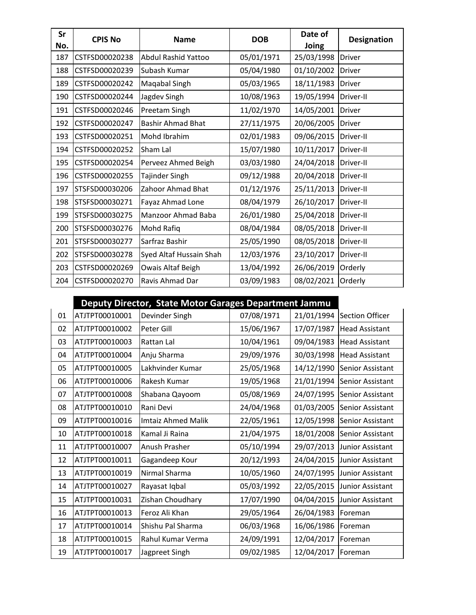| Sr<br>No. | <b>CPIS No</b> | <b>Name</b>              | <b>DOB</b> | Date of<br>Joing | <b>Designation</b> |
|-----------|----------------|--------------------------|------------|------------------|--------------------|
| 187       | CSTFSD00020238 | Abdul Rashid Yattoo      | 05/01/1971 | 25/03/1998       | <b>Driver</b>      |
| 188       | CSTFSD00020239 | Subash Kumar             | 05/04/1980 | 01/10/2002       | <b>Driver</b>      |
| 189       | CSTFSD00020242 | Maqabal Singh            | 05/03/1965 | 18/11/1983       | <b>Driver</b>      |
| 190       | CSTFSD00020244 | Jagdev Singh             | 10/08/1963 | 19/05/1994       | Driver-II          |
| 191       | CSTFSD00020246 | Preetam Singh            | 11/02/1970 | 14/05/2001       | <b>Driver</b>      |
| 192       | CSTFSD00020247 | <b>Bashir Ahmad Bhat</b> | 27/11/1975 | 20/06/2005       | <b>Driver</b>      |
| 193       | CSTFSD00020251 | Mohd Ibrahim             | 02/01/1983 | 09/06/2015       | Driver-II          |
| 194       | CSTFSD00020252 | Sham Lal                 | 15/07/1980 | 10/11/2017       | Driver-II          |
| 195       | CSTFSD00020254 | Perveez Ahmed Beigh      | 03/03/1980 | 24/04/2018       | Driver-II          |
| 196       | CSTFSD00020255 | <b>Tajinder Singh</b>    | 09/12/1988 | 20/04/2018       | Driver-II          |
| 197       | STSFSD00030206 | Zahoor Ahmad Bhat        | 01/12/1976 | 25/11/2013       | Driver-II          |
| 198       | STSFSD00030271 | Fayaz Ahmad Lone         | 08/04/1979 | 26/10/2017       | Driver-II          |
| 199       | STSFSD00030275 | Manzoor Ahmad Baba       | 26/01/1980 | 25/04/2018       | Driver-II          |
| 200       | STSFSD00030276 | Mohd Rafiq               | 08/04/1984 | 08/05/2018       | Driver-II          |
| 201       | STSFSD00030277 | Sarfraz Bashir           | 25/05/1990 | 08/05/2018       | Driver-II          |
| 202       | STSFSD00030278 | Syed Altaf Hussain Shah  | 12/03/1976 | 23/10/2017       | Driver-II          |
| 203       | CSTFSD00020269 | Owais Altaf Beigh        | 13/04/1992 | 26/06/2019       | Orderly            |
| 204       | CSTFSD00020270 | Ravis Ahmad Dar          | 03/09/1983 | 08/02/2021       | Orderly            |

## **Deputy Director, State Motor Garages Department Jammu**

| 01 | ATJTPT00010001 | Devinder Singh            | 07/08/1971 | 21/01/1994 | <b>Section Officer</b> |
|----|----------------|---------------------------|------------|------------|------------------------|
| 02 | ATJTPT00010002 | Peter Gill                | 15/06/1967 | 17/07/1987 | <b>Head Assistant</b>  |
| 03 | ATJTPT00010003 | Rattan Lal                | 10/04/1961 | 09/04/1983 | <b>Head Assistant</b>  |
| 04 | ATJTPT00010004 | Anju Sharma               | 29/09/1976 | 30/03/1998 | <b>Head Assistant</b>  |
| 05 | ATJTPT00010005 | Lakhvinder Kumar          | 25/05/1968 | 14/12/1990 | Senior Assistant       |
| 06 | ATJTPT00010006 | Rakesh Kumar              | 19/05/1968 | 21/01/1994 | Senior Assistant       |
| 07 | ATJTPT00010008 | Shabana Qayoom            | 05/08/1969 | 24/07/1995 | Senior Assistant       |
| 08 | ATJTPT00010010 | Rani Devi                 | 24/04/1968 | 01/03/2005 | Senior Assistant       |
| 09 | ATJTPT00010016 | <b>Imtaiz Ahmed Malik</b> | 22/05/1961 | 12/05/1998 | Senior Assistant       |
| 10 | ATJTPT00010018 | Kamal Ji Raina            | 21/04/1975 | 18/01/2008 | Senior Assistant       |
| 11 | ATJTPT00010007 | Anush Prasher             | 05/10/1994 | 29/07/2013 | Junior Assistant       |
| 12 | ATJTPT00010011 | Gagandeep Kour            | 20/12/1993 | 24/04/2015 | Junior Assistant       |
| 13 | ATJTPT00010019 | Nirmal Sharma             | 10/05/1960 | 24/07/1995 | Junior Assistant       |
| 14 | ATJTPT00010027 | Rayasat Iqbal             | 05/03/1992 | 22/05/2015 | Junior Assistant       |
| 15 | ATJTPT00010031 | Zishan Choudhary          | 17/07/1990 | 04/04/2015 | Junior Assistant       |
| 16 | ATJTPT00010013 | Feroz Ali Khan            | 29/05/1964 | 26/04/1983 | Foreman                |
| 17 | ATJTPT00010014 | Shishu Pal Sharma         | 06/03/1968 | 16/06/1986 | Foreman                |
| 18 | ATJTPT00010015 | Rahul Kumar Verma         | 24/09/1991 | 12/04/2017 | Foreman                |
| 19 | ATJTPT00010017 | Jagpreet Singh            | 09/02/1985 | 12/04/2017 | Foreman                |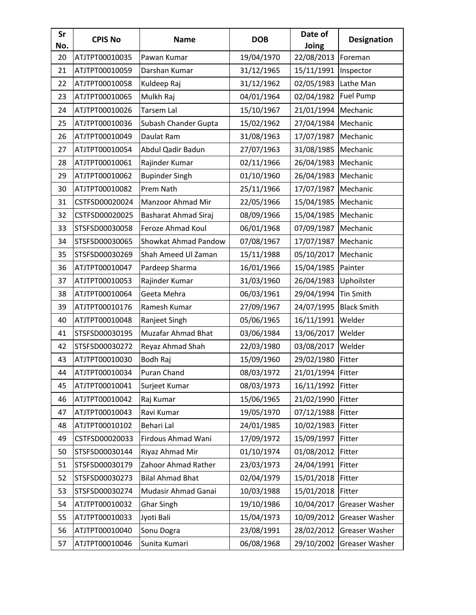| Sr<br>No. | <b>CPIS No</b> | <b>Name</b>               | <b>DOB</b> | Date of<br>Joing | <b>Designation</b> |
|-----------|----------------|---------------------------|------------|------------------|--------------------|
| 20        | ATJTPT00010035 | Pawan Kumar               | 19/04/1970 | 22/08/2013       | Foreman            |
| 21        | ATJTPT00010059 | Darshan Kumar             | 31/12/1965 | 15/11/1991       | Inspector          |
| 22        | ATJTPT00010058 | Kuldeep Raj               | 31/12/1962 | 02/05/1983       | Lathe Man          |
| 23        | ATJTPT00010065 | Mulkh Raj                 | 04/01/1964 | 02/04/1982       | Fuel Pump          |
| 24        | ATJTPT00010026 | Tarsem Lal                | 15/10/1967 | 21/01/1994       | Mechanic           |
| 25        | ATJTPT00010036 | Subash Chander Gupta      | 15/02/1962 | 27/04/1984       | Mechanic           |
| 26        | ATJTPT00010049 | Daulat Ram                | 31/08/1963 | 17/07/1987       | Mechanic           |
| 27        | ATJTPT00010054 | Abdul Qadir Badun         | 27/07/1963 | 31/08/1985       | Mechanic           |
| 28        | ATJTPT00010061 | Rajinder Kumar            | 02/11/1966 | 26/04/1983       | Mechanic           |
| 29        | ATJTPT00010062 | <b>Bupinder Singh</b>     | 01/10/1960 | 26/04/1983       | Mechanic           |
| 30        | ATJTPT00010082 | Prem Nath                 | 25/11/1966 | 17/07/1987       | Mechanic           |
| 31        | CSTFSD00020024 | Manzoor Ahmad Mir         | 22/05/1966 | 15/04/1985       | Mechanic           |
| 32        | CSTFSD00020025 | Basharat Ahmad Siraj      | 08/09/1966 | 15/04/1985       | Mechanic           |
| 33        | STSFSD00030058 | Feroze Ahmad Koul         | 06/01/1968 | 07/09/1987       | Mechanic           |
| 34        | STSFSD00030065 | Showkat Ahmad Pandow      | 07/08/1967 | 17/07/1987       | Mechanic           |
| 35        | STSFSD00030269 | Shah Ameed Ul Zaman       | 15/11/1988 | 05/10/2017       | Mechanic           |
| 36        | ATJTPT00010047 | Pardeep Sharma            | 16/01/1966 | 15/04/1985       | Painter            |
| 37        | ATJTPT00010053 | Rajinder Kumar            | 31/03/1960 | 26/04/1983       | Uphoilster         |
| 38        | ATJTPT00010064 | Geeta Mehra               | 06/03/1961 | 29/04/1994       | Tin Smith          |
| 39        | ATJTPT00010176 | Ramesh Kumar              | 27/09/1967 | 24/07/1995       | <b>Black Smith</b> |
| 40        | ATJTPT00010048 | Ranjeet Singh             | 05/06/1965 | 16/11/1991       | Welder             |
| 41        | STSFSD00030195 | <b>Muzafar Ahmad Bhat</b> | 03/06/1984 | 13/06/2017       | Welder             |
| 42        | STSFSD00030272 | Reyaz Ahmad Shah          | 22/03/1980 | 03/08/2017       | Welder             |
| 43        | ATJTPT00010030 | Bodh Raj                  | 15/09/1960 | 29/02/1980       | Fitter             |
| 44        | ATJTPT00010034 | Puran Chand               | 08/03/1972 | 21/01/1994       | Fitter             |
| 45        | ATJTPT00010041 | Surjeet Kumar             | 08/03/1973 | 16/11/1992       | Fitter             |
| 46        | ATJTPT00010042 | Raj Kumar                 | 15/06/1965 | 21/02/1990       | Fitter             |
| 47        | ATJTPT00010043 | Ravi Kumar                | 19/05/1970 | 07/12/1988       | Fitter             |
| 48        | ATJTPT00010102 | Behari Lal                | 24/01/1985 | 10/02/1983       | Fitter             |
| 49        | CSTFSD00020033 | Firdous Ahmad Wani        | 17/09/1972 | 15/09/1997       | Fitter             |
| 50        | STSFSD00030144 | Riyaz Ahmad Mir           | 01/10/1974 | 01/08/2012       | Fitter             |
| 51        | STSFSD00030179 | Zahoor Ahmad Rather       | 23/03/1973 | 24/04/1991       | Fitter             |
| 52        | STSFSD00030273 | <b>Bilal Ahmad Bhat</b>   | 02/04/1979 | 15/01/2018       | Fitter             |
| 53        | STSFSD00030274 | Mudasir Ahmad Ganai       | 10/03/1988 | 15/01/2018       | Fitter             |
| 54        | ATJTPT00010032 | <b>Ghar Singh</b>         | 19/10/1986 | 10/04/2017       | Greaser Washer     |
| 55        | ATJTPT00010033 | Jyoti Bali                | 15/04/1973 | 10/09/2012       | Greaser Washer     |
| 56        | ATJTPT00010040 | Sonu Dogra                | 23/08/1991 | 28/02/2012       | Greaser Washer     |
| 57        | ATJTPT00010046 | Sunita Kumari             | 06/08/1968 | 29/10/2002       | Greaser Washer     |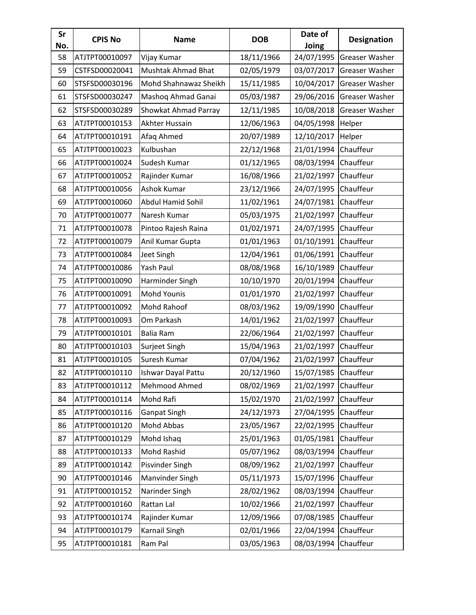| Sr<br>No. | <b>CPIS No</b> | <b>Name</b>           | <b>DOB</b> | Date of<br>Joing     | <b>Designation</b> |
|-----------|----------------|-----------------------|------------|----------------------|--------------------|
| 58        | ATJTPT00010097 | Vijay Kumar           | 18/11/1966 | 24/07/1995           | Greaser Washer     |
| 59        | CSTFSD00020041 | Mushtak Ahmad Bhat    | 02/05/1979 | 03/07/2017           | Greaser Washer     |
| 60        | STSFSD00030196 | Mohd Shahnawaz Sheikh | 15/11/1985 | 10/04/2017           | Greaser Washer     |
| 61        | STSFSD00030247 | Mashoq Ahmad Ganai    | 05/03/1987 | 29/06/2016           | Greaser Washer     |
| 62        | STSFSD00030289 | Showkat Ahmad Parray  | 12/11/1985 | 10/08/2018           | Greaser Washer     |
| 63        | ATJTPT00010153 | Akhter Hussain        | 12/06/1963 | 04/05/1998           | Helper             |
| 64        | ATJTPT00010191 | Afaq Ahmed            | 20/07/1989 | 12/10/2017           | Helper             |
| 65        | ATJTPT00010023 | Kulbushan             | 22/12/1968 | 21/01/1994           | Chauffeur          |
| 66        | ATJTPT00010024 | Sudesh Kumar          | 01/12/1965 | 08/03/1994           | Chauffeur          |
| 67        | ATJTPT00010052 | Rajinder Kumar        | 16/08/1966 | 21/02/1997           | Chauffeur          |
| 68        | ATJTPT00010056 | <b>Ashok Kumar</b>    | 23/12/1966 | 24/07/1995           | Chauffeur          |
| 69        | ATJTPT00010060 | Abdul Hamid Sohil     | 11/02/1961 | 24/07/1981           | Chauffeur          |
| 70        | ATJTPT00010077 | Naresh Kumar          | 05/03/1975 | 21/02/1997           | Chauffeur          |
| 71        | ATJTPT00010078 | Pintoo Rajesh Raina   | 01/02/1971 | 24/07/1995           | Chauffeur          |
| 72        | ATJTPT00010079 | Anil Kumar Gupta      | 01/01/1963 | 01/10/1991           | Chauffeur          |
| 73        | ATJTPT00010084 | Jeet Singh            | 12/04/1961 | 01/06/1991           | Chauffeur          |
| 74        | ATJTPT00010086 | Yash Paul             | 08/08/1968 | 16/10/1989           | Chauffeur          |
| 75        | ATJTPT00010090 | Harminder Singh       | 10/10/1970 | 20/01/1994           | Chauffeur          |
| 76        | ATJTPT00010091 | <b>Mohd Younis</b>    | 01/01/1970 | 21/02/1997           | Chauffeur          |
| 77        | ATJTPT00010092 | Mohd Rahoof           | 08/03/1962 | 19/09/1990           | Chauffeur          |
| 78        | ATJTPT00010093 | Om Parkash            | 14/01/1962 | 21/02/1997           | Chauffeur          |
| 79        | ATJTPT00010101 | Balia Ram             | 22/06/1964 | 21/02/1997           | Chauffeur          |
| 80        | ATJTPT00010103 | Surjeet Singh         | 15/04/1963 | 21/02/1997           | Chauffeur          |
| 81        | ATJTPT00010105 | Suresh Kumar          | 07/04/1962 | 21/02/1997           | Chauffeur          |
| 82        | ATJTPT00010110 | Ishwar Dayal Pattu    | 20/12/1960 | 15/07/1985 Chauffeur |                    |
| 83        | ATJTPT00010112 | Mehmood Ahmed         | 08/02/1969 | 21/02/1997           | Chauffeur          |
| 84        | ATJTPT00010114 | Mohd Rafi             | 15/02/1970 | 21/02/1997           | Chauffeur          |
| 85        | ATJTPT00010116 | <b>Ganpat Singh</b>   | 24/12/1973 | 27/04/1995           | Chauffeur          |
| 86        | ATJTPT00010120 | Mohd Abbas            | 23/05/1967 | 22/02/1995           | Chauffeur          |
| 87        | ATJTPT00010129 | Mohd Ishaq            | 25/01/1963 | 01/05/1981           | Chauffeur          |
| 88        | ATJTPT00010133 | Mohd Rashid           | 05/07/1962 | 08/03/1994           | Chauffeur          |
| 89        | ATJTPT00010142 | Pisvinder Singh       | 08/09/1962 | 21/02/1997           | Chauffeur          |
| 90        | ATJTPT00010146 | Manvinder Singh       | 05/11/1973 | 15/07/1996           | Chauffeur          |
| 91        | ATJTPT00010152 | Narinder Singh        | 28/02/1962 | 08/03/1994           | Chauffeur          |
| 92        | ATJTPT00010160 | Rattan Lal            | 10/02/1966 | 21/02/1997           | Chauffeur          |
| 93        | ATJTPT00010174 | Rajinder Kumar        | 12/09/1966 | 07/08/1985           | Chauffeur          |
| 94        | ATJTPT00010179 | Karnail Singh         | 02/01/1966 | 22/04/1994           | Chauffeur          |
| 95        | ATJTPT00010181 | Ram Pal               | 03/05/1963 | 08/03/1994           | Chauffeur          |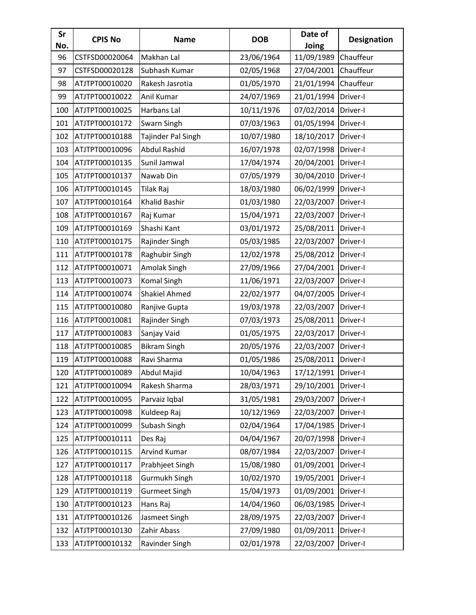| Sr<br>No. | <b>CPIS No</b> | <b>Name</b>          | <b>DOB</b> | Date of<br>Joing | <b>Designation</b> |
|-----------|----------------|----------------------|------------|------------------|--------------------|
| 96        | CSTFSD00020064 | Makhan Lal           | 23/06/1964 | 11/09/1989       | Chauffeur          |
| 97        | CSTFSD00020128 | Subhash Kumar        | 02/05/1968 | 27/04/2001       | Chauffeur          |
| 98        | ATJTPT00010020 | Rakesh Jasrotia      | 01/05/1970 | 21/01/1994       | Chauffeur          |
| 99        | ATJTPT00010022 | Anil Kumar           | 24/07/1969 | 21/01/1994       | Driver-I           |
| 100       | ATJTPT00010025 | Harbans Lal          | 10/11/1976 | 07/02/2014       | Driver-I           |
| 101       | ATJTPT00010172 | Swarn Singh          | 07/03/1963 | 01/05/1994       | Driver-I           |
| 102       | ATJTPT00010188 | Tajinder Pal Singh   | 10/07/1980 | 18/10/2017       | Driver-I           |
| 103       | ATJTPT00010096 | <b>Abdul Rashid</b>  | 16/07/1978 | 02/07/1998       | Driver-I           |
| 104       | ATJTPT00010135 | Sunil Jamwal         | 17/04/1974 | 20/04/2001       | Driver-I           |
| 105       | ATJTPT00010137 | Nawab Din            | 07/05/1979 | 30/04/2010       | Driver-I           |
| 106       | ATJTPT00010145 | Tilak Raj            | 18/03/1980 | 06/02/1999       | Driver-I           |
| 107       | ATJTPT00010164 | Khalid Bashir        | 01/03/1980 | 22/03/2007       | Driver-I           |
| 108       | ATJTPT00010167 | Raj Kumar            | 15/04/1971 | 22/03/2007       | Driver-I           |
| 109       | ATJTPT00010169 | Shashi Kant          | 03/01/1972 | 25/08/2011       | Driver-I           |
| 110       | ATJTPT00010175 | Rajinder Singh       | 05/03/1985 | 22/03/2007       | Driver-I           |
| 111       | ATJTPT00010178 | Raghubir Singh       | 12/02/1978 | 25/08/2012       | Driver-I           |
| 112       | ATJTPT00010071 | Amolak Singh         | 27/09/1966 | 27/04/2001       | Driver-I           |
| 113       | ATJTPT00010073 | <b>Komal Singh</b>   | 11/06/1971 | 22/03/2007       | Driver-I           |
| 114       | ATJTPT00010074 | <b>Shakiel Ahmed</b> | 22/02/1977 | 04/07/2005       | Driver-I           |
| 115       | ATJTPT00010080 | Ranjive Gupta        | 19/03/1978 | 22/03/2007       | Driver-I           |
| 116       | ATJTPT00010081 | Rajinder Singh       | 07/03/1973 | 25/08/2011       | Driver-I           |
| 117       | ATJTPT00010083 | Sanjay Vaid          | 01/05/1975 | 22/03/2017       | Driver-I           |
| 118       | ATJTPT00010085 | <b>Bikram Singh</b>  | 20/05/1976 | 22/03/2007       | Driver-I           |
| 119       | ATJTPT00010088 | Ravi Sharma          | 01/05/1986 | 25/08/2011       | Driver-I           |
| 120       | ATJTPT00010089 | Abdul Majid          | 10/04/1963 | 17/12/1991       | Driver-I           |
| 121       | ATJTPT00010094 | Rakesh Sharma        | 28/03/1971 | 29/10/2001       | Driver-I           |
| 122       | ATJTPT00010095 | Parvaiz Iqbal        | 31/05/1981 | 29/03/2007       | Driver-I           |
| 123       | ATJTPT00010098 | Kuldeep Raj          | 10/12/1969 | 22/03/2007       | Driver-I           |
| 124       | ATJTPT00010099 | Subash Singh         | 02/04/1964 | 17/04/1985       | Driver-I           |
| 125       | ATJTPT00010111 | Des Raj              | 04/04/1967 | 20/07/1998       | Driver-I           |
| 126       | ATJTPT00010115 | Arvind Kumar         | 08/07/1984 | 22/03/2007       | Driver-I           |
| 127       | ATJTPT00010117 | Prabhjeet Singh      | 15/08/1980 | 01/09/2001       | Driver-I           |
| 128       | ATJTPT00010118 | Gurmukh Singh        | 10/02/1970 | 19/05/2001       | Driver-I           |
| 129       | ATJTPT00010119 | <b>Gurmeet Singh</b> | 15/04/1973 | 01/09/2001       | Driver-I           |
| 130       | ATJTPT00010123 | Hans Raj             | 14/04/1960 | 06/03/1985       | Driver-I           |
| 131       | ATJTPT00010126 | Jasmeet Singh        | 28/09/1975 | 22/03/2007       | Driver-I           |
| 132       | ATJTPT00010130 | Zahir Abass          | 27/09/1980 | 01/09/2011       | Driver-I           |
| 133       | ATJTPT00010132 | Ravinder Singh       | 02/01/1978 | 22/03/2007       | Driver-I           |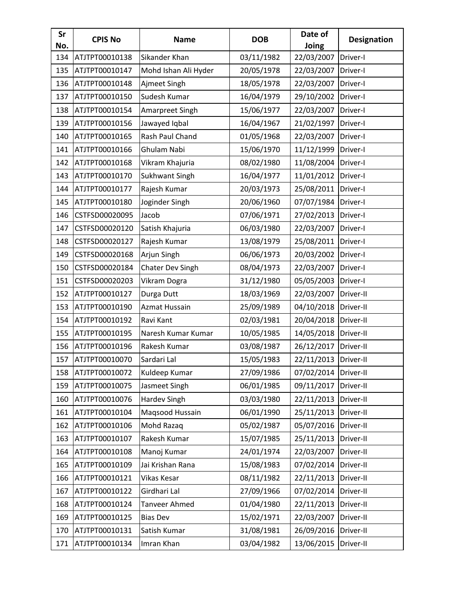| Sr<br>No. | <b>CPIS No</b> | <b>Name</b>          | <b>DOB</b> | Date of<br>Joing | <b>Designation</b> |
|-----------|----------------|----------------------|------------|------------------|--------------------|
| 134       | ATJTPT00010138 | Sikander Khan        | 03/11/1982 | 22/03/2007       | Driver-I           |
| 135       | ATJTPT00010147 | Mohd Ishan Ali Hyder | 20/05/1978 | 22/03/2007       | Driver-I           |
| 136       | ATJTPT00010148 | Ajmeet Singh         | 18/05/1978 | 22/03/2007       | Driver-I           |
| 137       | ATJTPT00010150 | Sudesh Kumar         | 16/04/1979 | 29/10/2002       | Driver-I           |
| 138       | ATJTPT00010154 | Amarpreet Singh      | 15/06/1977 | 22/03/2007       | Driver-I           |
| 139       | ATJTPT00010156 | Jawayed Iqbal        | 16/04/1967 | 21/02/1997       | Driver-I           |
| 140       | ATJTPT00010165 | Rash Paul Chand      | 01/05/1968 | 22/03/2007       | Driver-I           |
| 141       | ATJTPT00010166 | Ghulam Nabi          | 15/06/1970 | 11/12/1999       | Driver-I           |
| 142       | ATJTPT00010168 | Vikram Khajuria      | 08/02/1980 | 11/08/2004       | Driver-I           |
| 143       | ATJTPT00010170 | Sukhwant Singh       | 16/04/1977 | 11/01/2012       | Driver-I           |
| 144       | ATJTPT00010177 | Rajesh Kumar         | 20/03/1973 | 25/08/2011       | Driver-I           |
| 145       | ATJTPT00010180 | Joginder Singh       | 20/06/1960 | 07/07/1984       | Driver-I           |
| 146       | CSTFSD00020095 | Jacob                | 07/06/1971 | 27/02/2013       | Driver-I           |
| 147       | CSTFSD00020120 | Satish Khajuria      | 06/03/1980 | 22/03/2007       | Driver-I           |
| 148       | CSTFSD00020127 | Rajesh Kumar         | 13/08/1979 | 25/08/2011       | Driver-I           |
| 149       | CSTFSD00020168 | Arjun Singh          | 06/06/1973 | 20/03/2002       | Driver-I           |
| 150       | CSTFSD00020184 | Chater Dev Singh     | 08/04/1973 | 22/03/2007       | Driver-I           |
| 151       | CSTFSD00020203 | Vikram Dogra         | 31/12/1980 | 05/05/2003       | Driver-I           |
| 152       | ATJTPT00010127 | Durga Dutt           | 18/03/1969 | 22/03/2007       | Driver-II          |
| 153       | ATJTPT00010190 | Azmat Hussain        | 25/09/1989 | 04/10/2018       | Driver-II          |
| 154       | ATJTPT00010192 | Ravi Kant            | 02/03/1981 | 20/04/2018       | Driver-II          |
| 155       | ATJTPT00010195 | Naresh Kumar Kumar   | 10/05/1985 | 14/05/2018       | Driver-II          |
| 156       | ATJTPT00010196 | Rakesh Kumar         | 03/08/1987 | 26/12/2017       | Driver-II          |
| 157       | ATJTPT00010070 | Sardari Lal          | 15/05/1983 | 22/11/2013       | Driver-II          |
| 158       | ATJTPT00010072 | Kuldeep Kumar        | 27/09/1986 | 07/02/2014       | Driver-II          |
| 159       | ATJTPT00010075 | Jasmeet Singh        | 06/01/1985 | 09/11/2017       | Driver-II          |
| 160       | ATJTPT00010076 | Hardev Singh         | 03/03/1980 | 22/11/2013       | Driver-II          |
| 161       | ATJTPT00010104 | Maqsood Hussain      | 06/01/1990 | 25/11/2013       | Driver-II          |
| 162       | ATJTPT00010106 | Mohd Razaq           | 05/02/1987 | 05/07/2016       | Driver-II          |
| 163       | ATJTPT00010107 | Rakesh Kumar         | 15/07/1985 | 25/11/2013       | Driver-II          |
| 164       | ATJTPT00010108 | Manoj Kumar          | 24/01/1974 | 22/03/2007       | Driver-II          |
| 165       | ATJTPT00010109 | Jai Krishan Rana     | 15/08/1983 | 07/02/2014       | Driver-II          |
| 166       | ATJTPT00010121 | Vikas Kesar          | 08/11/1982 | 22/11/2013       | Driver-II          |
| 167       | ATJTPT00010122 | Girdhari Lal         | 27/09/1966 | 07/02/2014       | Driver-II          |
| 168       | ATJTPT00010124 | Tanveer Ahmed        | 01/04/1980 | 22/11/2013       | Driver-II          |
| 169       | ATJTPT00010125 | <b>Bias Dev</b>      | 15/02/1971 | 22/03/2007       | Driver-II          |
| 170       | ATJTPT00010131 | Satish Kumar         | 31/08/1981 | 26/09/2016       | Driver-II          |
| 171       | ATJTPT00010134 | Imran Khan           | 03/04/1982 | 13/06/2015       | Driver-II          |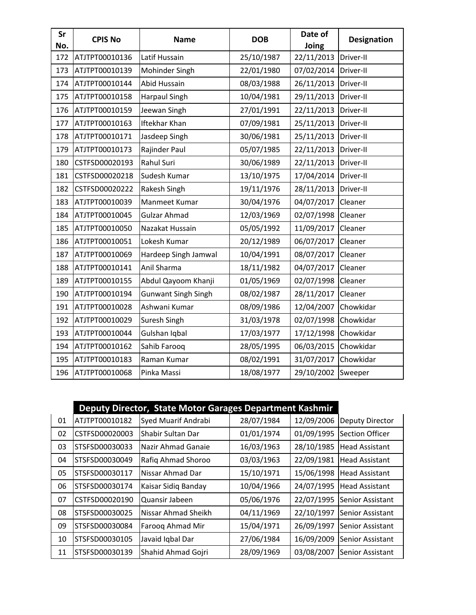| Sr<br>No. | <b>CPIS No</b> | <b>Name</b>                | <b>DOB</b> | Date of<br>Joing | <b>Designation</b> |
|-----------|----------------|----------------------------|------------|------------------|--------------------|
| 172       | ATJTPT00010136 | Latif Hussain              | 25/10/1987 | 22/11/2013       | Driver-II          |
| 173       | ATJTPT00010139 | Mohinder Singh             | 22/01/1980 | 07/02/2014       | Driver-II          |
| 174       | ATJTPT00010144 | Abid Hussain               | 08/03/1988 | 26/11/2013       | Driver-II          |
| 175       | ATJTPT00010158 | <b>Harpaul Singh</b>       | 10/04/1981 | 29/11/2013       | Driver-II          |
| 176       | ATJTPT00010159 | Jeewan Singh               | 27/01/1991 | 22/11/2013       | Driver-II          |
| 177       | ATJTPT00010163 | <b>Iftekhar Khan</b>       | 07/09/1981 | 25/11/2013       | Driver-II          |
| 178       | ATJTPT00010171 | Jasdeep Singh              | 30/06/1981 | 25/11/2013       | Driver-II          |
| 179       | ATJTPT00010173 | Rajinder Paul              | 05/07/1985 | 22/11/2013       | Driver-II          |
| 180       | CSTFSD00020193 | <b>Rahul Suri</b>          | 30/06/1989 | 22/11/2013       | Driver-II          |
| 181       | CSTFSD00020218 | Sudesh Kumar               | 13/10/1975 | 17/04/2014       | Driver-II          |
| 182       | CSTFSD00020222 | Rakesh Singh               | 19/11/1976 | 28/11/2013       | Driver-II          |
| 183       | ATJTPT00010039 | Manmeet Kumar              | 30/04/1976 | 04/07/2017       | Cleaner            |
| 184       | ATJTPT00010045 | <b>Gulzar Ahmad</b>        | 12/03/1969 | 02/07/1998       | Cleaner            |
| 185       | ATJTPT00010050 | Nazakat Hussain            | 05/05/1992 | 11/09/2017       | Cleaner            |
| 186       | ATJTPT00010051 | Lokesh Kumar               | 20/12/1989 | 06/07/2017       | Cleaner            |
| 187       | ATJTPT00010069 | Hardeep Singh Jamwal       | 10/04/1991 | 08/07/2017       | Cleaner            |
| 188       | ATJTPT00010141 | Anil Sharma                | 18/11/1982 | 04/07/2017       | Cleaner            |
| 189       | ATJTPT00010155 | Abdul Qayoom Khanji        | 01/05/1969 | 02/07/1998       | Cleaner            |
| 190       | ATJTPT00010194 | <b>Gunwant Singh Singh</b> | 08/02/1987 | 28/11/2017       | Cleaner            |
| 191       | ATJTPT00010028 | Ashwani Kumar              | 08/09/1986 | 12/04/2007       | Chowkidar          |
| 192       | ATJTPT00010029 | Suresh Singh               | 31/03/1978 | 02/07/1998       | Chowkidar          |
| 193       | ATJTPT00010044 | Gulshan Iqbal              | 17/03/1977 | 17/12/1998       | Chowkidar          |
| 194       | ATJTPT00010162 | Sahib Farooq               | 28/05/1995 | 06/03/2015       | Chowkidar          |
| 195       | ATJTPT00010183 | Raman Kumar                | 08/02/1991 | 31/07/2017       | Chowkidar          |
| 196       | ATJTPT00010068 | Pinka Massi                | 18/08/1977 | 29/10/2002       | Sweeper            |

|    | Deputy Director, State Motor Garages Department Kashmir |                          |            |            |                        |
|----|---------------------------------------------------------|--------------------------|------------|------------|------------------------|
| 01 | ATJTPT00010182                                          | Syed Muarif Andrabi      | 28/07/1984 | 12/09/2006 | <b>Deputy Director</b> |
| 02 | CSTFSD00020003                                          | <b>Shabir Sultan Dar</b> | 01/01/1974 | 01/09/1995 | Section Officer        |
| 03 | STSFSD00030033                                          | Nazir Ahmad Ganaie       | 16/03/1963 | 28/10/1985 | <b>Head Assistant</b>  |
| 04 | STSFSD00030049                                          | Rafiq Ahmad Shoroo       | 03/03/1963 | 22/09/1981 | <b>Head Assistant</b>  |
| 05 | STSFSD00030117                                          | Nissar Ahmad Dar         | 15/10/1971 | 15/06/1998 | <b>Head Assistant</b>  |
| 06 | STSFSD00030174                                          | Kaisar Sidiq Banday      | 10/04/1966 | 24/07/1995 | <b>Head Assistant</b>  |
| 07 | CSTFSD00020190                                          | Quansir Jabeen           | 05/06/1976 | 22/07/1995 | Senior Assistant       |
| 08 | STSFSD00030025                                          | Nissar Ahmad Sheikh      | 04/11/1969 | 22/10/1997 | Senior Assistant       |
| 09 | STSFSD00030084                                          | Farooq Ahmad Mir         | 15/04/1971 | 26/09/1997 | Senior Assistant       |
| 10 | STSFSD00030105                                          | Javaid Iqbal Dar         | 27/06/1984 | 16/09/2009 | Senior Assistant       |
| 11 | STSFSD00030139                                          | Shahid Ahmad Gojri       | 28/09/1969 | 03/08/2007 | Senior Assistant       |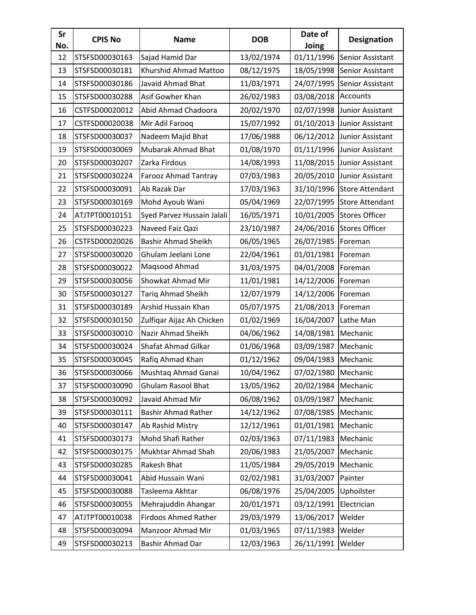| Sr<br>No. | <b>CPIS No</b> | <b>Name</b>                 | <b>DOB</b> | Date of<br>Joing | <b>Designation</b>     |
|-----------|----------------|-----------------------------|------------|------------------|------------------------|
| 12        | STSFSD00030163 | Sajad Hamid Dar             | 13/02/1974 | 01/11/1996       | Senior Assistant       |
| 13        | STSFSD00030181 | Khurshid Ahmad Mattoo       | 08/12/1975 | 18/05/1998       | Senior Assistant       |
| 14        | STSFSD00030186 | Javaid Ahmad Bhat           | 11/03/1971 | 24/07/1995       | Senior Assistant       |
| 15        | STSFSD00030288 | Asif Gowher Khan            | 26/02/1983 | 03/08/2018       | Accounts               |
| 16        | CSTFSD00020012 | Abid Ahmad Chadoora         | 20/02/1970 | 02/07/1998       | Junior Assistant       |
| 17        | CSTFSD00020038 | Mir Adil Farooq             | 15/07/1992 | 01/10/2013       | Junior Assistant       |
| 18        | STSFSD00030037 | Nadeem Majid Bhat           | 17/06/1988 | 06/12/2012       | Junior Assistant       |
| 19        | STSFSD00030069 | <b>Mubarak Ahmad Bhat</b>   | 01/08/1970 | 01/11/1996       | Junior Assistant       |
| 20        | STSFSD00030207 | Zarka Firdous               | 14/08/1993 | 11/08/2015       | Junior Assistant       |
| 21        | STSFSD00030224 | Farooz Ahmad Tantray        | 07/03/1983 | 20/05/2010       | Junior Assistant       |
| 22        | STSFSD00030091 | Ab Razak Dar                | 17/03/1963 | 31/10/1996       | Store Attendant        |
| 23        | STSFSD00030169 | Mohd Ayoub Wani             | 05/04/1969 | 22/07/1995       | <b>Store Attendant</b> |
| 24        | ATJTPT00010151 | Syed Parvez Hussain Jalali  | 16/05/1971 | 10/01/2005       | <b>Stores Officer</b>  |
| 25        | STSFSD00030223 | Naveed Faiz Qazi            | 23/10/1987 | 24/06/2016       | <b>Stores Officer</b>  |
| 26        | CSTFSD00020026 | <b>Bashir Ahmad Sheikh</b>  | 06/05/1965 | 26/07/1985       | Foreman                |
| 27        | STSFSD00030020 | Ghulam Jeelani Lone         | 22/04/1961 | 01/01/1981       | Foreman                |
| 28        | STSFSD00030022 | Maqsood Ahmad               | 31/03/1975 | 04/01/2008       | Foreman                |
| 29        | STSFSD00030056 | Showkat Ahmad Mir           | 11/01/1981 | 14/12/2006       | Foreman                |
| 30        | STSFSD00030127 | <b>Tariq Ahmad Sheikh</b>   | 12/07/1979 | 14/12/2006       | Foreman                |
| 31        | STSFSD00030189 | Arshid Hussain Khan         | 05/07/1975 | 21/08/2013       | Foreman                |
| 32        | STSFSD00030150 | Zulfiqar Aijaz Ah Chicken   | 01/02/1969 | 16/04/2007       | Lathe Man              |
| 33        | STSFSD00030010 | Nazir Ahmad Sheikh          | 04/06/1962 | 14/08/1981       | Mechanic               |
| 34        | STSFSD00030024 | Shafat Ahmad Gilkar         | 01/06/1968 | 03/09/1987       | Mechanic               |
| 35        | STSFSD00030045 | Rafiq Ahmad Khan            | 01/12/1962 | 09/04/1983       | Mechanic               |
| 36        | STSFSD00030066 | Mushtaq Ahmad Ganai         | 10/04/1962 | 07/02/1980       | Mechanic               |
| 37        | STSFSD00030090 | Ghulam Rasool Bhat          | 13/05/1962 | 20/02/1984       | Mechanic               |
| 38        | STSFSD00030092 | Javaid Ahmad Mir            | 06/08/1962 | 03/09/1987       | Mechanic               |
| 39        | STSFSD00030111 | <b>Bashir Ahmad Rather</b>  | 14/12/1962 | 07/08/1985       | Mechanic               |
| 40        | STSFSD00030147 | Ab Rashid Mistry            | 12/12/1961 | 01/01/1981       | Mechanic               |
| 41        | STSFSD00030173 | Mohd Shafi Rather           | 02/03/1963 | 07/11/1983       | Mechanic               |
| 42        | STSFSD00030175 | Mukhtar Ahmad Shah          | 20/06/1983 | 21/05/2007       | Mechanic               |
| 43        | STSFSD00030285 | Rakesh Bhat                 | 11/05/1984 | 29/05/2019       | Mechanic               |
| 44        | STSFSD00030041 | Abid Hussain Wani           | 02/02/1981 | 31/03/2007       | Painter                |
| 45        | STSFSD00030088 | Tasleema Akhtar             | 06/08/1976 | 25/04/2005       | Uphoilster             |
| 46        | STSFSD00030055 | Mehrajuddin Ahangar         | 20/01/1971 | 03/12/1991       | Electrician            |
| 47        | ATJTPT00010038 | <b>Firdoos Ahmed Rather</b> | 29/03/1979 | 13/06/2017       | Welder                 |
| 48        | STSFSD00030094 | Manzoor Ahmad Mir           | 01/03/1965 | 07/11/1983       | Welder                 |
| 49        | STSFSD00030213 | Bashir Ahmad Dar            | 12/03/1963 | 26/11/1991       | Welder                 |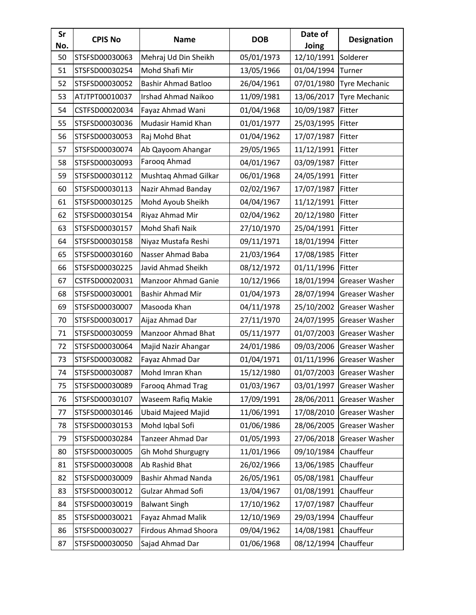| Sr<br>No. | <b>CPIS No</b> | <b>Name</b>                 | <b>DOB</b> | Date of<br>Joing | <b>Designation</b>   |
|-----------|----------------|-----------------------------|------------|------------------|----------------------|
| 50        | STSFSD00030063 | Mehraj Ud Din Sheikh        | 05/01/1973 | 12/10/1991       | Solderer             |
| 51        | STSFSD00030254 | Mohd Shafi Mir              | 13/05/1966 | 01/04/1994       | Turner               |
| 52        | STSFSD00030052 | <b>Bashir Ahmad Batloo</b>  | 26/04/1961 | 07/01/1980       | Tyre Mechanic        |
| 53        | ATJTPT00010037 | <b>Irshad Ahmad Naikoo</b>  | 11/09/1981 | 13/06/2017       | <b>Tyre Mechanic</b> |
| 54        | CSTFSD00020034 | Fayaz Ahmad Wani            | 01/04/1968 | 10/09/1987       | Fitter               |
| 55        | STSFSD00030036 | Mudasir Hamid Khan          | 01/01/1977 | 25/03/1995       | Fitter               |
| 56        | STSFSD00030053 | Raj Mohd Bhat               | 01/04/1962 | 17/07/1987       | Fitter               |
| 57        | STSFSD00030074 | Ab Qayoom Ahangar           | 29/05/1965 | 11/12/1991       | Fitter               |
| 58        | STSFSD00030093 | Farooq Ahmad                | 04/01/1967 | 03/09/1987       | Fitter               |
| 59        | STSFSD00030112 | Mushtaq Ahmad Gilkar        | 06/01/1968 | 24/05/1991       | Fitter               |
| 60        | STSFSD00030113 | Nazir Ahmad Banday          | 02/02/1967 | 17/07/1987       | Fitter               |
| 61        | STSFSD00030125 | Mohd Ayoub Sheikh           | 04/04/1967 | 11/12/1991       | Fitter               |
| 62        | STSFSD00030154 | Riyaz Ahmad Mir             | 02/04/1962 | 20/12/1980       | Fitter               |
| 63        | STSFSD00030157 | Mohd Shafi Naik             | 27/10/1970 | 25/04/1991       | Fitter               |
| 64        | STSFSD00030158 | Niyaz Mustafa Reshi         | 09/11/1971 | 18/01/1994       | Fitter               |
| 65        | STSFSD00030160 | Nasser Ahmad Baba           | 21/03/1964 | 17/08/1985       | Fitter               |
| 66        | STSFSD00030225 | Javid Ahmad Sheikh          | 08/12/1972 | 01/11/1996       | Fitter               |
| 67        | CSTFSD00020031 | Manzoor Ahmad Ganie         | 10/12/1966 | 18/01/1994       | Greaser Washer       |
| 68        | STSFSD00030001 | Bashir Ahmad Mir            | 01/04/1973 | 28/07/1994       | Greaser Washer       |
| 69        | STSFSD00030007 | Masooda Khan                | 04/11/1978 | 25/10/2002       | Greaser Washer       |
| 70        | STSFSD00030017 | Aijaz Ahmad Dar             | 27/11/1970 | 24/07/1995       | Greaser Washer       |
| 71        | STSFSD00030059 | <b>Manzoor Ahmad Bhat</b>   | 05/11/1977 | 01/07/2003       | Greaser Washer       |
| 72        | STSFSD00030064 | Majid Nazir Ahangar         | 24/01/1986 | 09/03/2006       | Greaser Washer       |
| 73        | STSFSD00030082 | Fayaz Ahmad Dar             | 01/04/1971 | 01/11/1996       | Greaser Washer       |
| 74        | STSFSD00030087 | Mohd Imran Khan             | 15/12/1980 | 01/07/2003       | Greaser Washer       |
| 75        | STSFSD00030089 | Farooq Ahmad Trag           | 01/03/1967 | 03/01/1997       | Greaser Washer       |
| 76        | STSFSD00030107 | Waseem Rafiq Makie          | 17/09/1991 | 28/06/2011       | Greaser Washer       |
| 77        | STSFSD00030146 | <b>Ubaid Majeed Majid</b>   | 11/06/1991 | 17/08/2010       | Greaser Washer       |
| 78        | STSFSD00030153 | Mohd Iqbal Sofi             | 01/06/1986 | 28/06/2005       | Greaser Washer       |
| 79        | STSFSD00030284 | Tanzeer Ahmad Dar           | 01/05/1993 | 27/06/2018       | Greaser Washer       |
| 80        | STSFSD00030005 | Gh Mohd Shurgugry           | 11/01/1966 | 09/10/1984       | Chauffeur            |
| 81        | STSFSD00030008 | Ab Rashid Bhat              | 26/02/1966 | 13/06/1985       | Chauffeur            |
| 82        | STSFSD00030009 | <b>Bashir Ahmad Nanda</b>   | 26/05/1961 | 05/08/1981       | Chauffeur            |
| 83        | STSFSD00030012 | Gulzar Ahmad Sofi           | 13/04/1967 | 01/08/1991       | Chauffeur            |
| 84        | STSFSD00030019 | <b>Balwant Singh</b>        | 17/10/1962 | 17/07/1987       | Chauffeur            |
| 85        | STSFSD00030021 | Fayaz Ahmad Malik           | 12/10/1969 | 29/03/1994       | Chauffeur            |
| 86        | STSFSD00030027 | <b>Firdous Ahmad Shoora</b> | 09/04/1962 | 14/08/1981       | Chauffeur            |
| 87        | STSFSD00030050 | Sajad Ahmad Dar             | 01/06/1968 | 08/12/1994       | Chauffeur            |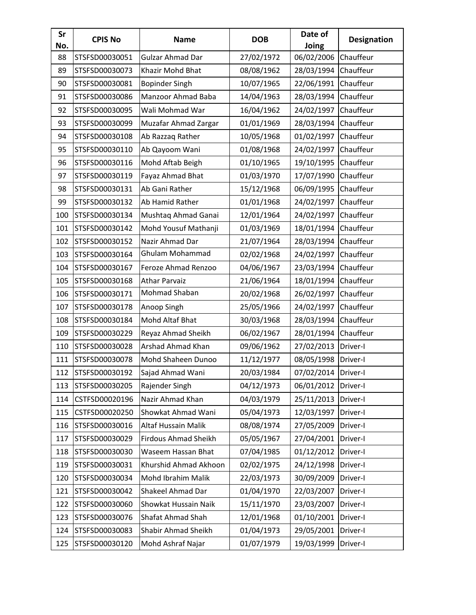| Sr<br>No. | <b>CPIS No</b> | <b>Name</b>                 | <b>DOB</b> | Date of<br>Joing      | <b>Designation</b> |
|-----------|----------------|-----------------------------|------------|-----------------------|--------------------|
| 88        | STSFSD00030051 | <b>Gulzar Ahmad Dar</b>     | 27/02/1972 | 06/02/2006            | Chauffeur          |
| 89        | STSFSD00030073 | Khazir Mohd Bhat            | 08/08/1962 | 28/03/1994            | Chauffeur          |
| 90        | STSFSD00030081 | <b>Bopinder Singh</b>       | 10/07/1965 | 22/06/1991            | Chauffeur          |
| 91        | STSFSD00030086 | Manzoor Ahmad Baba          | 14/04/1963 | 28/03/1994            | Chauffeur          |
| 92        | STSFSD00030095 | Wali Mohmad War             | 16/04/1962 | 24/02/1997            | Chauffeur          |
| 93        | STSFSD00030099 | Muzafar Ahmad Zargar        | 01/01/1969 | 28/03/1994            | Chauffeur          |
| 94        | STSFSD00030108 | Ab Razzaq Rather            | 10/05/1968 | 01/02/1997            | Chauffeur          |
| 95        | STSFSD00030110 | Ab Qayoom Wani              | 01/08/1968 | 24/02/1997            | Chauffeur          |
| 96        | STSFSD00030116 | Mohd Aftab Beigh            | 01/10/1965 | 19/10/1995            | Chauffeur          |
| 97        | STSFSD00030119 | Fayaz Ahmad Bhat            | 01/03/1970 | 17/07/1990            | Chauffeur          |
| 98        | STSFSD00030131 | Ab Gani Rather              | 15/12/1968 | 06/09/1995            | Chauffeur          |
| 99        | STSFSD00030132 | Ab Hamid Rather             | 01/01/1968 | 24/02/1997            | Chauffeur          |
| 100       | STSFSD00030134 | Mushtaq Ahmad Ganai         | 12/01/1964 | 24/02/1997            | Chauffeur          |
| 101       | STSFSD00030142 | Mohd Yousuf Mathanji        | 01/03/1969 | 18/01/1994            | Chauffeur          |
| 102       | STSFSD00030152 | Nazir Ahmad Dar             | 21/07/1964 | 28/03/1994            | Chauffeur          |
| 103       | STSFSD00030164 | Ghulam Mohammad             | 02/02/1968 | 24/02/1997            | Chauffeur          |
| 104       | STSFSD00030167 | Feroze Ahmad Renzoo         | 04/06/1967 | 23/03/1994            | Chauffeur          |
| 105       | STSFSD00030168 | <b>Athar Parvaiz</b>        | 21/06/1964 | 18/01/1994            | Chauffeur          |
| 106       | STSFSD00030171 | Mohmad Shaban               | 20/02/1968 | 26/02/1997            | Chauffeur          |
| 107       | STSFSD00030178 | Anoop Singh                 | 25/05/1966 | 24/02/1997            | Chauffeur          |
| 108       | STSFSD00030184 | Mohd Altaf Bhat             | 30/03/1968 | 28/03/1994            | Chauffeur          |
| 109       | STSFSD00030229 | Reyaz Ahmad Sheikh          | 06/02/1967 | 28/01/1994            | Chauffeur          |
| 110       | STSFSD00030028 | Arshad Ahmad Khan           | 09/06/1962 | 27/02/2013            | Driver-I           |
| 111       | STSFSD00030078 | Mohd Shaheen Dunoo          | 11/12/1977 | 08/05/1998            | Driver-I           |
| 112       | STSFSD00030192 | Sajad Ahmad Wani            | 20/03/1984 | 07/02/2014   Driver-I |                    |
| 113       | STSFSD00030205 | Rajender Singh              | 04/12/1973 | 06/01/2012            | Driver-I           |
| 114       | CSTFSD00020196 | Nazir Ahmad Khan            | 04/03/1979 | 25/11/2013            | Driver-I           |
| 115       | CSTFSD00020250 | Showkat Ahmad Wani          | 05/04/1973 | 12/03/1997            | Driver-I           |
| 116       | STSFSD00030016 | Altaf Hussain Malik         | 08/08/1974 | 27/05/2009            | Driver-I           |
| 117       | STSFSD00030029 | <b>Firdous Ahmad Sheikh</b> | 05/05/1967 | 27/04/2001            | Driver-I           |
| 118       | STSFSD00030030 | Waseem Hassan Bhat          | 07/04/1985 | 01/12/2012            | Driver-I           |
| 119       | STSFSD00030031 | Khurshid Ahmad Akhoon       | 02/02/1975 | 24/12/1998            | Driver-I           |
| 120       | STSFSD00030034 | Mohd Ibrahim Malik          | 22/03/1973 | 30/09/2009            | Driver-I           |
| 121       | STSFSD00030042 | Shakeel Ahmad Dar           | 01/04/1970 | 22/03/2007            | Driver-I           |
| 122       | STSFSD00030060 | Showkat Hussain Naik        | 15/11/1970 | 23/03/2007            | Driver-I           |
| 123       | STSFSD00030076 | Shafat Ahmad Shah           | 12/01/1968 | 01/10/2001            | Driver-I           |
| 124       | STSFSD00030083 | Shabir Ahmad Sheikh         | 01/04/1973 | 29/05/2001            | Driver-I           |
| 125       | STSFSD00030120 | Mohd Ashraf Najar           | 01/07/1979 | 19/03/1999            | Driver-I           |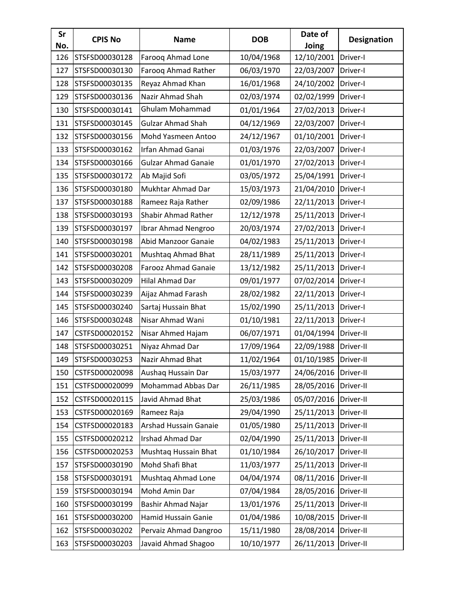| Sr<br>No. | <b>CPIS No</b> | <b>Name</b>                | <b>DOB</b> | Date of<br>Joing       | <b>Designation</b> |
|-----------|----------------|----------------------------|------------|------------------------|--------------------|
| 126       | STSFSD00030128 | Farooq Ahmad Lone          | 10/04/1968 | 12/10/2001             | Driver-I           |
| 127       | STSFSD00030130 | Farooq Ahmad Rather        | 06/03/1970 | 22/03/2007             | Driver-I           |
| 128       | STSFSD00030135 | Reyaz Ahmad Khan           | 16/01/1968 | 24/10/2002             | Driver-I           |
| 129       | STSFSD00030136 | Nazir Ahmad Shah           | 02/03/1974 | 02/02/1999             | Driver-I           |
| 130       | STSFSD00030141 | <b>Ghulam Mohammad</b>     | 01/01/1964 | 27/02/2013             | Driver-I           |
| 131       | STSFSD00030145 | <b>Gulzar Ahmad Shah</b>   | 04/12/1969 | 22/03/2007             | Driver-I           |
| 132       | STSFSD00030156 | Mohd Yasmeen Antoo         | 24/12/1967 | 01/10/2001             | Driver-I           |
| 133       | STSFSD00030162 | Irfan Ahmad Ganai          | 01/03/1976 | 22/03/2007             | Driver-I           |
| 134       | STSFSD00030166 | <b>Gulzar Ahmad Ganaie</b> | 01/01/1970 | 27/02/2013             | Driver-I           |
| 135       | STSFSD00030172 | Ab Majid Sofi              | 03/05/1972 | 25/04/1991             | Driver-I           |
| 136       | STSFSD00030180 | Mukhtar Ahmad Dar          | 15/03/1973 | 21/04/2010             | Driver-I           |
| 137       | STSFSD00030188 | Rameez Raja Rather         | 02/09/1986 | 22/11/2013             | Driver-I           |
| 138       | STSFSD00030193 | Shabir Ahmad Rather        | 12/12/1978 | 25/11/2013             | Driver-I           |
| 139       | STSFSD00030197 | Ibrar Ahmad Nengroo        | 20/03/1974 | 27/02/2013             | Driver-I           |
| 140       | STSFSD00030198 | Abid Manzoor Ganaie        | 04/02/1983 | 25/11/2013             | Driver-I           |
| 141       | STSFSD00030201 | Mushtaq Ahmad Bhat         | 28/11/1989 | 25/11/2013             | Driver-I           |
| 142       | STSFSD00030208 | Farooz Ahmad Ganaie        | 13/12/1982 | 25/11/2013             | Driver-I           |
| 143       | STSFSD00030209 | Hilal Ahmad Dar            | 09/01/1977 | 07/02/2014             | Driver-I           |
| 144       | STSFSD00030239 | Aijaz Ahmad Farash         | 28/02/1982 | 22/11/2013             | Driver-I           |
| 145       | STSFSD00030240 | Sartaj Hussain Bhat        | 15/02/1990 | 25/11/2013             | Driver-I           |
| 146       | STSFSD00030248 | Nisar Ahmad Wani           | 01/10/1981 | 22/11/2013             | Driver-I           |
| 147       | CSTFSD00020152 | Nisar Ahmed Hajam          | 06/07/1971 | 01/04/1994             | Driver-II          |
| 148       | STSFSD00030251 | Niyaz Ahmad Dar            | 17/09/1964 | 22/09/1988             | Driver-II          |
| 149       | STSFSD00030253 | Nazir Ahmad Bhat           | 11/02/1964 | 01/10/1985             | Driver-II          |
| 150       | CSTFSD00020098 | Aushaq Hussain Dar         | 15/03/1977 | 24/06/2016   Driver-II |                    |
| 151       | CSTFSD00020099 | Mohammad Abbas Dar         | 26/11/1985 | 28/05/2016             | Driver-II          |
| 152       | CSTFSD00020115 | Javid Ahmad Bhat           | 25/03/1986 | 05/07/2016             | Driver-II          |
| 153       | CSTFSD00020169 | Rameez Raja                | 29/04/1990 | 25/11/2013             | Driver-II          |
| 154       | CSTFSD00020183 | Arshad Hussain Ganaie      | 01/05/1980 | 25/11/2013             | Driver-II          |
| 155       | CSTFSD00020212 | Irshad Ahmad Dar           | 02/04/1990 | 25/11/2013             | Driver-II          |
| 156       | CSTFSD00020253 | Mushtaq Hussain Bhat       | 01/10/1984 | 26/10/2017             | Driver-II          |
| 157       | STSFSD00030190 | Mohd Shafi Bhat            | 11/03/1977 | 25/11/2013             | Driver-II          |
| 158       | STSFSD00030191 | Mushtaq Ahmad Lone         | 04/04/1974 | 08/11/2016             | Driver-II          |
| 159       | STSFSD00030194 | Mohd Amin Dar              | 07/04/1984 | 28/05/2016             | Driver-II          |
| 160       | STSFSD00030199 | Bashir Ahmad Najar         | 13/01/1976 | 25/11/2013             | Driver-II          |
| 161       | STSFSD00030200 | Hamid Hussain Ganie        | 01/04/1986 | 10/08/2015             | Driver-II          |
| 162       | STSFSD00030202 | Pervaiz Ahmad Dangroo      | 15/11/1980 | 28/08/2014             | Driver-II          |
| 163       | STSFSD00030203 | Javaid Ahmad Shagoo        | 10/10/1977 | 26/11/2013             | Driver-II          |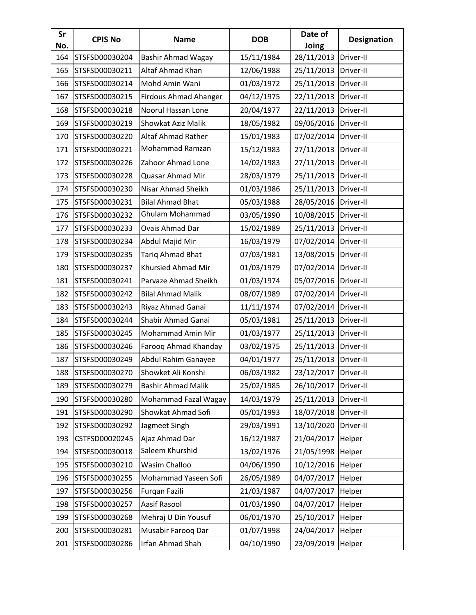| Sr<br>No. | <b>CPIS No</b> | <b>Name</b>                  | <b>DOB</b> | Date of<br>Joing | <b>Designation</b> |
|-----------|----------------|------------------------------|------------|------------------|--------------------|
| 164       | STSFSD00030204 | <b>Bashir Ahmad Wagay</b>    | 15/11/1984 | 28/11/2013       | Driver-II          |
| 165       | STSFSD00030211 | Altaf Ahmad Khan             | 12/06/1988 | 25/11/2013       | Driver-II          |
| 166       | STSFSD00030214 | Mohd Amin Wani               | 01/03/1972 | 25/11/2013       | Driver-II          |
| 167       | STSFSD00030215 | <b>Firdous Ahmad Ahanger</b> | 04/12/1975 | 22/11/2013       | Driver-II          |
| 168       | STSFSD00030218 | Noorul Hassan Lone           | 20/04/1977 | 22/11/2013       | Driver-II          |
| 169       | STSFSD00030219 | Showkat Aziz Malik           | 18/05/1982 | 09/06/2016       | Driver-II          |
| 170       | STSFSD00030220 | Altaf Ahmad Rather           | 15/01/1983 | 07/02/2014       | Driver-II          |
| 171       | STSFSD00030221 | Mohammad Ramzan              | 15/12/1983 | 27/11/2013       | Driver-II          |
| 172       | STSFSD00030226 | Zahoor Ahmad Lone            | 14/02/1983 | 27/11/2013       | Driver-II          |
| 173       | STSFSD00030228 | Quasar Ahmad Mir             | 28/03/1979 | 25/11/2013       | Driver-II          |
| 174       | STSFSD00030230 | Nisar Ahmad Sheikh           | 01/03/1986 | 25/11/2013       | Driver-II          |
| 175       | STSFSD00030231 | <b>Bilal Ahmad Bhat</b>      | 05/03/1988 | 28/05/2016       | Driver-II          |
| 176       | STSFSD00030232 | Ghulam Mohammad              | 03/05/1990 | 10/08/2015       | Driver-II          |
| 177       | STSFSD00030233 | Ovais Ahmad Dar              | 15/02/1989 | 25/11/2013       | Driver-II          |
| 178       | STSFSD00030234 | Abdul Majid Mir              | 16/03/1979 | 07/02/2014       | Driver-II          |
| 179       | STSFSD00030235 | Tariq Ahmad Bhat             | 07/03/1981 | 13/08/2015       | Driver-II          |
| 180       | STSFSD00030237 | Khursied Ahmad Mir           | 01/03/1979 | 07/02/2014       | Driver-II          |
| 181       | STSFSD00030241 | Parvaze Ahmad Sheikh         | 01/03/1974 | 05/07/2016       | Driver-II          |
| 182       | STSFSD00030242 | <b>Bilal Ahmad Malik</b>     | 08/07/1989 | 07/02/2014       | Driver-II          |
| 183       | STSFSD00030243 | Riyaz Ahmad Ganai            | 11/11/1974 | 07/02/2014       | Driver-II          |
| 184       | STSFSD00030244 | Shabir Ahmad Ganai           | 05/03/1981 | 25/11/2013       | Driver-II          |
| 185       | STSFSD00030245 | Mohammad Amin Mir            | 01/03/1977 | 25/11/2013       | Driver-II          |
| 186       | STSFSD00030246 | Farooq Ahmad Khanday         | 03/02/1975 | 25/11/2013       | Driver-II          |
| 187       | STSFSD00030249 | Abdul Rahim Ganayee          | 04/01/1977 | 25/11/2013       | Driver-II          |
| 188       | STSFSD00030270 | Showket Ali Konshi           | 06/03/1982 | 23/12/2017       | Driver-II          |
| 189       | STSFSD00030279 | <b>Bashir Ahmad Malik</b>    | 25/02/1985 | 26/10/2017       | Driver-II          |
| 190       | STSFSD00030280 | Mohammad Fazal Wagay         | 14/03/1979 | 25/11/2013       | Driver-II          |
| 191       | STSFSD00030290 | Showkat Ahmad Sofi           | 05/01/1993 | 18/07/2018       | Driver-II          |
| 192       | STSFSD00030292 | Jagmeet Singh                | 29/03/1991 | 13/10/2020       | Driver-II          |
| 193       | CSTFSD00020245 | Ajaz Ahmad Dar               | 16/12/1987 | 21/04/2017       | Helper             |
| 194       | STSFSD00030018 | Saleem Khurshid              | 13/02/1976 | 21/05/1998       | Helper             |
| 195       | STSFSD00030210 | Wasim Challoo                | 04/06/1990 | 10/12/2016       | Helper             |
| 196       | STSFSD00030255 | Mohammad Yaseen Sofi         | 26/05/1989 | 04/07/2017       | Helper             |
| 197       | STSFSD00030256 | Furqan Fazili                | 21/03/1987 | 04/07/2017       | Helper             |
| 198       | STSFSD00030257 | Aasif Rasool                 | 01/03/1990 | 04/07/2017       | Helper             |
| 199       | STSFSD00030268 | Mehraj U Din Yousuf          | 06/01/1970 | 25/10/2017       | Helper             |
| 200       | STSFSD00030281 | Musabir Farooq Dar           | 01/07/1998 | 24/04/2017       | Helper             |
| 201       | STSFSD00030286 | Irfan Ahmad Shah             | 04/10/1990 | 23/09/2019       | Helper             |